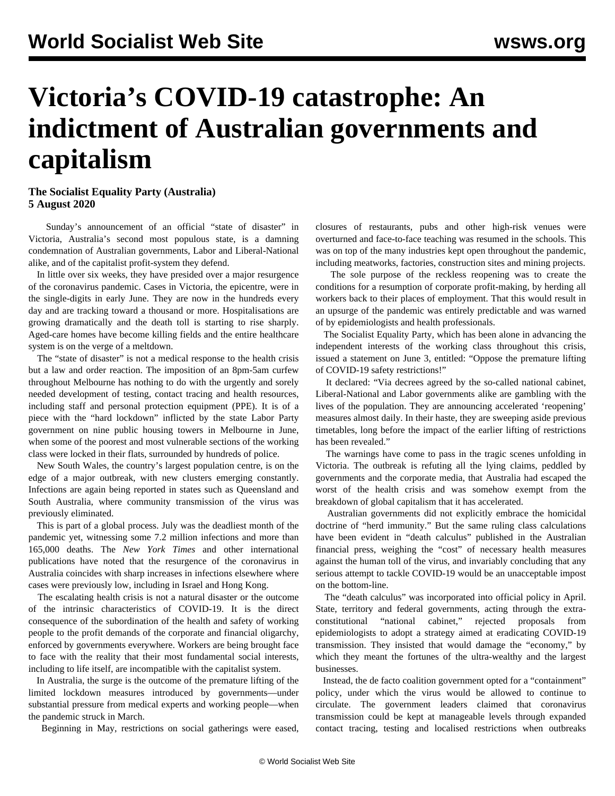## **Victoria's COVID-19 catastrophe: An indictment of Australian governments and capitalism**

## **The Socialist Equality Party (Australia) 5 August 2020**

 Sunday's announcement of an official "state of disaster" in Victoria, Australia's second most populous state, is a damning condemnation of Australian governments, Labor and Liberal-National alike, and of the capitalist profit-system they defend.

 In little over six weeks, they have presided over a major resurgence of the coronavirus pandemic. Cases in Victoria, the epicentre, were in the single-digits in early June. They are now in the hundreds every day and are tracking toward a thousand or more. Hospitalisations are growing dramatically and the death toll is starting to rise sharply. Aged-care homes have become killing fields and the entire healthcare system is on the verge of a meltdown.

 The "state of disaster" is not a medical response to the health crisis but a law and order reaction. The imposition of an 8pm-5am curfew throughout Melbourne has nothing to do with the urgently and sorely needed development of testing, contact tracing and health resources, including staff and personal protection equipment (PPE). It is of a piece with the "hard lockdown" inflicted by the state Labor Party government on nine public housing towers in Melbourne in June, when some of the poorest and most vulnerable sections of the working class were locked in their flats, surrounded by hundreds of police.

 New South Wales, the country's largest population centre, is on the edge of a major outbreak, with new clusters emerging constantly. Infections are again being reported in states such as Queensland and South Australia, where community transmission of the virus was previously eliminated.

 This is part of a global process. July was the deadliest month of the pandemic yet, witnessing some 7.2 million infections and more than 165,000 deaths. The *New York Times* and other international publications have noted that the resurgence of the coronavirus in Australia coincides with sharp increases in infections elsewhere where cases were previously low, including in Israel and Hong Kong.

 The escalating health crisis is not a natural disaster or the outcome of the intrinsic characteristics of COVID-19. It is the direct consequence of the subordination of the health and safety of working people to the profit demands of the corporate and financial oligarchy, enforced by governments everywhere. Workers are being brought face to face with the reality that their most fundamental social interests, including to life itself, are incompatible with the capitalist system.

 In Australia, the surge is the outcome of the premature lifting of the limited lockdown measures introduced by governments—under substantial pressure from medical experts and working people—when the pandemic struck in March.

Beginning in May, restrictions on social gatherings were eased,

closures of restaurants, pubs and other high-risk venues were overturned and face-to-face teaching was resumed in the schools. This was on top of the many industries kept open throughout the pandemic, including meatworks, factories, construction sites and mining projects.

 The sole purpose of the reckless reopening was to create the conditions for a resumption of corporate profit-making, by herding all workers back to their places of employment. That this would result in an upsurge of the pandemic was entirely predictable and was warned of by epidemiologists and health professionals.

 The Socialist Equality Party, which has been alone in advancing the independent interests of the working class throughout this crisis, issued a [statement](/en/articles/202) on June 3, entitled: "Oppose the premature lifting of COVID-19 safety restrictions!"

 It declared: "Via decrees agreed by the so-called national cabinet, Liberal-National and Labor governments alike are gambling with the lives of the population. They are announcing accelerated 'reopening' measures almost daily. In their haste, they are sweeping aside previous timetables, long before the impact of the earlier lifting of restrictions has been revealed."

 The warnings have come to pass in the tragic scenes unfolding in Victoria. The outbreak is refuting all the lying claims, peddled by governments and the corporate media, that Australia had escaped the worst of the health crisis and was somehow exempt from the breakdown of global capitalism that it has accelerated.

 Australian governments did not explicitly embrace the homicidal doctrine of "herd immunity." But the same ruling class calculations have been evident in "death calculus" published in the Australian financial press, weighing the "cost" of necessary health measures against the human toll of the virus, and invariably concluding that any serious attempt to tackle COVID-19 would be an unacceptable impost on the bottom-line.

 The "death calculus" was incorporated into official policy in April. State, territory and federal governments, acting through the extraconstitutional "national cabinet," rejected proposals from epidemiologists to adopt a strategy aimed at eradicating COVID-19 transmission. They insisted that would damage the "economy," by which they meant the fortunes of the ultra-wealthy and the largest businesses.

 Instead, the de facto coalition government opted for a "containment" policy, under which the virus would be allowed to continue to circulate. The government leaders claimed that coronavirus transmission could be kept at manageable levels through expanded contact tracing, testing and localised restrictions when outbreaks